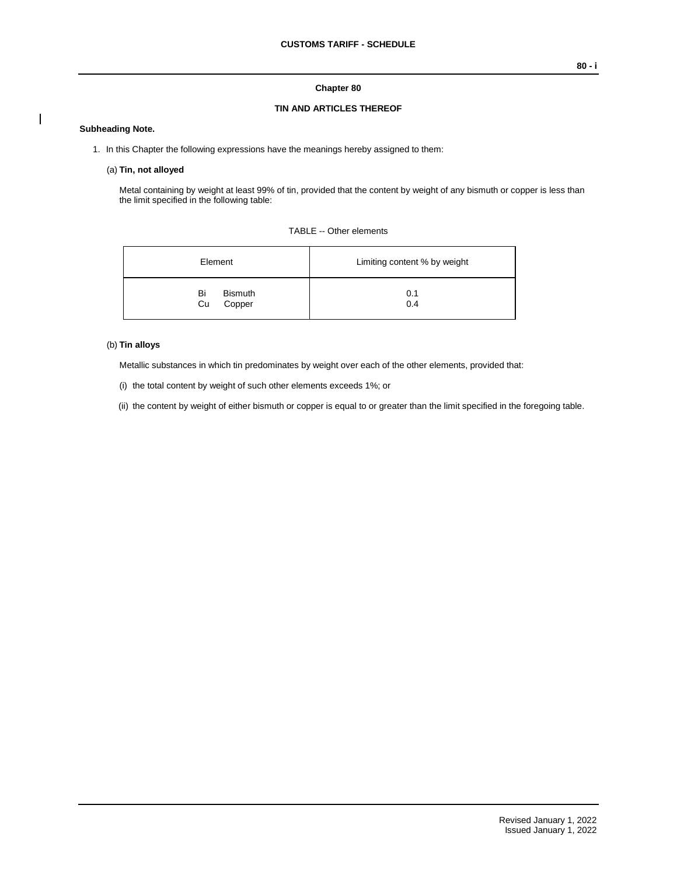### **Chapter 80**

## **TIN AND ARTICLES THEREOF**

#### **Subheading Note.**

- 1. In this Chapter the following expressions have the meanings hereby assigned to them:
	- (a) **Tin, not alloyed**

Metal containing by weight at least 99% of tin, provided that the content by weight of any bismuth or copper is less than the limit specified in the following table:

| TABLE -- Other elements |  |  |
|-------------------------|--|--|
|-------------------------|--|--|

| Element                              | Limiting content % by weight |  |  |
|--------------------------------------|------------------------------|--|--|
| Bi<br><b>Bismuth</b><br>Copper<br>Cu | 0.1<br>0.4                   |  |  |

## (b) **Tin alloys**

Metallic substances in which tin predominates by weight over each of the other elements, provided that:

- (i) the total content by weight of such other elements exceeds 1%; or
- (ii) the content by weight of either bismuth or copper is equal to or greater than the limit specified in the foregoing table.